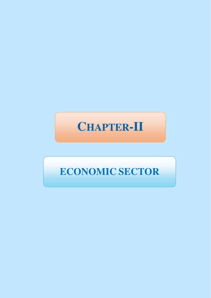# **CHAPTER-II**

# **ECONOMIC SECTOR**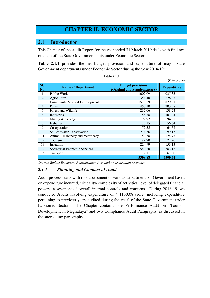# **CHAPTER II: ECONOMIC SECTOR**

#### **2.1 Introduction**

This Chapter of the Audit Report for the year ended 31 March 2019 deals with findings on audit of the State Government units under Economic Sector.

**Table 2.1.1** provides the net budget provision and expenditure of major State Government departments under Economic Sector during the year 2018-19:

|            | $(1 \text{ m} \cup \text{ m})$  |                                                          |                    |  |  |  |  |  |
|------------|---------------------------------|----------------------------------------------------------|--------------------|--|--|--|--|--|
| SI.<br>No. | <b>Name of Department</b>       | <b>Budget provisions</b><br>(Original and Supplementary) | <b>Expenditure</b> |  |  |  |  |  |
| 1.         | Public Works                    | 1002.09                                                  | 935.35             |  |  |  |  |  |
| 2.         | Agriculture                     | 354.40                                                   | 228.37             |  |  |  |  |  |
| 3.         | Community & Rural Development   | 1579.59                                                  | 829.31             |  |  |  |  |  |
| 4.         | Power                           | 457.10                                                   | 203.38             |  |  |  |  |  |
| 5.         | Forest and Wildlife             | 237.06                                                   | 138.24             |  |  |  |  |  |
| 6.         | <b>Industries</b>               | 158.78                                                   | 107.94             |  |  |  |  |  |
| 7.         | Mining & Geology                | 97.92                                                    | 94.68              |  |  |  |  |  |
| 8.         | <b>Fisheries</b>                | 73.15                                                    | 56.64              |  |  |  |  |  |
| 9.         | Co-operation                    | 72.55                                                    | 64.52              |  |  |  |  |  |
| 10.        | Soil & Water Conservation       | 274.86                                                   | 99.15              |  |  |  |  |  |
| 11.        | Animal Husbandry and Veterinary | 159.38                                                   | 124.77             |  |  |  |  |  |
| 12.        | Tourism                         | 89.70                                                    | 22.90              |  |  |  |  |  |
| 13.        | Irrigation                      | 224.99                                                   | 153.13             |  |  |  |  |  |
| 14.        | Secretariat Economic Services   | 540.20                                                   | 383.16             |  |  |  |  |  |
| 15.        | Transport                       | 77.11                                                    | 67.80              |  |  |  |  |  |
|            |                                 | 5398.88                                                  | 3509.34            |  |  |  |  |  |

**(₹ in crore)** 

*Source: Budget Estimates, Appropriation Acts and Appropriation Accounts.* 

#### *2.1.1 Planning and Conduct of Audit*

Audit process starts with risk assessment of various departments of Government based on expenditure incurred, criticality/ complexity of activities, level of delegated financial powers, assessment of overall internal controls and concerns. During 2018-19, we conducted Audits involving expenditure of ₹ 1150.08 crore (including expenditure pertaining to previous years audited during the year) of the State Government under Economic Sector. The Chapter contains one Performance Audit on "Tourism Development in Meghalaya" and two Compliance Audit Paragraphs, as discussed in the succeeding paragraphs.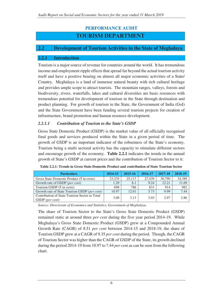# **PERFORMANCE AUDIT**

# **TOURISM DEPARTMENT**

# **2.2 Development of Tourism Activities in the State of Meghalaya**

#### **2.2.1 Introduction**

Tourism is a major source of revenue for countries around the world. It has tremendous income and employment ripple effects that spread far beyond the actual tourism activity itself and have a positive bearing on almost all major economic activities of a State/ Country. Meghalaya is a land of immense natural beauty with rich cultural heritage and provides ample scope to attract tourists. The mountain ranges, valleys, forests and biodiversity, rivers, waterfalls, lakes and cultural diversities are basic resources with tremendous potential for development of tourism in the State through destination and product planning. For growth of tourism in the State, the Government of India (GoI) and the State Government have been funding several tourism projects for creation of infrastructure, brand promotion and human resource development.

#### *2.2.1.1 Contribution of Tourism to the State's GSDP*

Gross State Domestic Product (GSDP) is the market value of all officially recognised final goods and services produced within the State in a given period of time. The growth of GSDP is an important indicator of the robustness of the State's economy. Tourism being a multi sectoral activity has the capacity to stimulate different sectors and encourage growth of the economy. **Table 2.2.1** indicates the trends in the annual growth of State's GSDP at current prices and the contribution of Tourism Sector to it:

| <b>Particulars</b>                                               | 2014-15 | 2015-16 | 2016-17 | 2017-18 | 2018-19 |
|------------------------------------------------------------------|---------|---------|---------|---------|---------|
| Gross State Domestic Product ( $\bar{\xi}$ in crore)             | 23.235  | 25,117  | 27.439  | 30,790  | 34,389  |
| Growth rate of GSDP ( <i>per cent</i> )                          | 1.29    | 8.1     | 9.24    | 12.21   | 11.69   |
| Tourism GSDP $(\bar{\tau}$ in crore)                             | 698     | 786     | 831     | 914     | 982     |
| Growth rate of State Tourism GSDP (per cent)                     | 10.97   | 12.61   | 5.73    | 9.99    | 7.44    |
| Contribution of State Tourism Sector to Total<br>GSDP (per cent) | 3.00    | 3.13    | 3.03    | 2.97    | 2.86    |

*Source: Directorate of Economics and Statistics, Government of Meghalaya.*

The share of Tourism Sector to the State's Gross State Domestic Product (GSDP) remained static at around three *per cent* during the five year period 2014-19. While Meghalaya's Gross State Domestic Product (GSDP) grew at a Compounded Annual Growth Rate (CAGR) of 8.51 *per cent* between 2014-15 and 2018-19, the share of Tourism GSDP grew at a CAGR of 9.35 *per cent* during the period. Though, the CAGR of Tourism Sector was higher than the CAGR of GSDP of the State, its growth declined during the period 2014-19 from 10.97 to 7.44 *per cent* as can be seen from the following chart.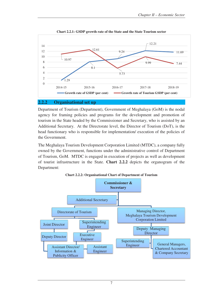

**Chart 2.2.1: GSDP growth rate of the State and the State Tourism sector** 

#### **2.2.2 Organisational set up**

Department of Tourism (Department), Government of Meghalaya (GoM) is the nodal agency for framing policies and programs for the development and promotion of tourism in the State headed by the Commissioner and Secretary, who is assisted by an Additional Secretary. At the Directorate level, the Director of Tourism (DoT), is the head functionary who is responsible for implementation/ execution of the policies of the Government.

The Meghalaya Tourism Development Corporation Limited (MTDC), a company fully owned by the Government, functions under the administrative control of Department of Tourism, GoM. MTDC is engaged in execution of projects as well as development of tourist infrastructure in the State. **Chart 2.2.2** depicts the organogram of the Department:



**Chart 2.2.2: Organisational Chart of Department of Tourism**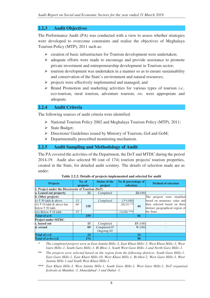# **2.2.3 Audit Objectives**

The Performance Audit (PA) was conducted with a view to assess whether strategies were developed to overcome constraints and realise the objectives of Meghalaya Tourism Policy (MTP), 2011 such as:

- $\triangleright$  creation of basic infrastructure for Tourism development were undertaken;
- $\triangleright$  adequate efforts were made to encourage and provide assistance to promote private investment and entrepreneurship development in Tourism sector;
- $\triangleright$  tourism development was undertaken in a manner so as to ensure sustainability and conservation of the State's environment and natural resources;
- $\triangleright$  projects were effectively implemented and managed; and
- $\triangleright$  Brand Promotion and marketing activities for various types of tourism *i.e.*, eco-tourism, rural tourism, adventure tourism, *etc.* were appropriate and adequate.

#### **2.2.4 Audit Criteria**

The following sources of audit criteria were identified:

- $\triangleright$  National Tourism Policy 2002 and Meghalaya Tourism Policy (MTP), 2011;
- $\triangleright$  State Budget;
- Directions/ Guidelines issued by Ministry of Tourism, GoI and GoM;
- $\triangleright$  Departmentally prescribed monitoring mechanism.

#### **2.2.5 Audit Sampling and Methodology of Audit**

The PA covered the activities of the Department, the DoT and MTDC during the period 2014-19. Audit also selected 90 (out of 174) tourism projects/ tourism properties, created in the State, for detailed audit scrutiny. The details of selection made are as under:

| <b>Projects</b>                                   | No. of<br>projects |     | <b>Status of the</b><br>project | No & percentage of<br>selection | <b>Method of selection</b>                                      |
|---------------------------------------------------|--------------------|-----|---------------------------------|---------------------------------|-----------------------------------------------------------------|
| 1. Project under the Directorate of Tourism (DoT) |                    |     |                                 |                                 |                                                                 |
| a. Leased out property                            |                    | 22  | Completed                       | 22(100)                         |                                                                 |
| b. Other projects:                                |                    |     |                                 |                                 | The projects were stratified                                    |
| (i) ₹ 50 lakh & above                             | 13                 |     | Completed                       | $13*(100)$                      | based on monetary value and                                     |
| (ii) ₹ 10 lakh & above but<br>below ₹ 50 lakh     | 60                 | 128 |                                 | $20(33)$ **<br>44               | then selected based on three<br>distinct geographical region of |
| (iii) Below ₹ 10 lakh                             | 55                 |     |                                 | $11(20)$ ***                    | the State.                                                      |
| Total of a <sup>+</sup> b                         |                    | 150 |                                 | 66                              |                                                                 |
| <b>Project under MTDC</b>                         |                    |     |                                 |                                 |                                                                 |
| c. leased out                                     |                    | 15  | Completed                       | 15(100)                         |                                                                 |
| d. owned                                          |                    | 09  | Completed-07<br>Ongoing-02      | 9(100)                          |                                                                 |
| Total of c+d<br>24                                |                    |     |                                 | 24                              |                                                                 |
| Total of a+b+c+d                                  |                    | 174 |                                 | 90                              |                                                                 |

**Table 2.2.2: Details of projects implemented and selected for audit** 

*\* The completed projects were at East Jaintia Hills–2, East Khasi Hills–3, West Khasi Hills–3, West Garo Hills–1, South Garo Hills–1, Ri Bhoi–1, South West Garo Hills–1 and North Garo Hills–1.* 

*\*\* The projects were selected based on the region from the following districts: South Garo Hills-1, East Garo Hills-1, East Khasi Hills-10, West Khasi Hills-1, Ri-bhoi-2, West Garo Hills-3, West Jaintia Hills-1 and South West Khasi Hills-1.* 

*\*\*\* East Khasi Hills-3, West Jaintia Hills-1, South Garo Hills-1, West Garo Hills-1, DoT organised festivals at Mumbai -3, Ahmedabad -1 and Dubai -1.*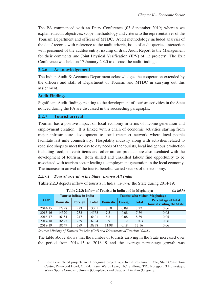The PA commenced with an Entry Conference (03 September 2019) wherein we explained audit objectives, scope, methodology and criteria to the representatives of the Tourism Department and officers of MTDC. Audit methodology included analysis of the data/ records with reference to the audit criteria, issue of audit queries, interaction with personnel of the auditee entity, issuing of draft Audit Report to the Management for their comments and Joint Physical Verification (JPV) of 12 projects<sup>3</sup>. The Exit Conference was held on 17 January 2020 to discuss the audit findings.

#### **2.2.6 Acknowledgement**

The Indian Audit & Accounts Department acknowledges the cooperation extended by the officers and staff of Department of Tourism and MTDC in carrying out this assignment.

#### **Audit Findings**

Significant Audit findings relating to the development of tourism activities in the State noticed during the PA are discussed in the succeeding paragraphs.

#### **2.2.7 Tourist arrival**

Tourism has a positive impact on local economy in terms of income generation and employment creation. It is linked with a chain of economic activities starting from major infrastructure development to local transport network where local people facilitate last mile connectivity. Hospitality industry along with activities related to road side shops to meet the day to day needs of the tourists, local indigenous production including food, souvenir items and other artisan products are also escalated with the development of tourism. Both skilled and unskilled labour find opportunity to be associated with tourism sector leading to employment generation in the local economy. The increase in arrival of the tourist benefits varied sectors of the economy.

#### *2.2.7.1 Tourist arrival in the State vis-a-vis All India*

**Table 2.2.3** depicts inflow of tourists in India *vis-à-vis* the State during 2014-19:

|             | Table 2.2.5: Inflow of Tourists in India and in Meghalaya<br>ипиакт |                                |              |                 |                                      |              |                                                          |  |  |  |  |
|-------------|---------------------------------------------------------------------|--------------------------------|--------------|-----------------|--------------------------------------|--------------|----------------------------------------------------------|--|--|--|--|
|             |                                                                     | <b>Tourist inflow in India</b> |              |                 | <b>Tourist who visited Meghalaya</b> |              |                                                          |  |  |  |  |
| Year        | <b>Domestic</b>                                                     | Foreign                        | <b>Total</b> | <b>Domestic</b> | Foreign                              | <b>Total</b> | <b>Percentage of total</b><br>tourist visiting the State |  |  |  |  |
| 2014-15     | 12828                                                               | 223                            | 13051        | 7.18            | 0.09                                 | 7.27         | 0.06                                                     |  |  |  |  |
| $2015 - 16$ | 14320                                                               | 233                            | 14553        | 7.51            | 0.08                                 | 7.59         | 0.05                                                     |  |  |  |  |
| 2016-17     | 16154                                                               | 247                            | 16401        | 8.31            | 0.08                                 | 8.39         | 0.05                                                     |  |  |  |  |
| 2017-18     | 16525                                                               | 269                            | 16794        | 9.91            | 0.12                                 | 10.03        | 0.06                                                     |  |  |  |  |
| 2018-19     | 18549                                                               | 289                            | 18838        | 11.98           | 0.18                                 | 12.16        | 0.06                                                     |  |  |  |  |

 **Table 2.2.3: Inflow of Tourists in India and in Meghalaya** *(in lakh)* 

*Source: Ministry of Tourism Website (GoI) and Directorate of Tourism (GoM).* 

The table above shows that the number of tourists arriving in the State increased over the period from 2014-15 to 2018-19 and the average percentage growth was

 $\overline{a}$ 3 Eleven completed projects and 1 on-going project *viz.*-Orchid Restaurant, Polo, State Convention Centre, Pinewood Hotel, OLR-Umiam, Wards Lake, TIC, Shillong, TIC, Nongpoh, 3 Homestays, Water Sports Complex, Umiam (Completed) and Swadesh Darshan (Ongoing).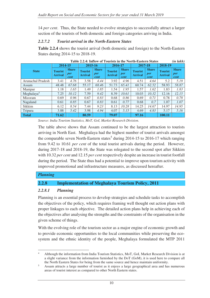14 *per cent*. Thus, the State needed to evolve strategies to successfully attract a larger section of the tourists of both domestic and foreign categories arriving in India.

# *2.2.7.2 Tourist arrival in the North-Eastern States*

**Table 2.2.4** shows the tourist arrival (both domestic and foreign) to the North-Eastern States during 2014-15 to 2018-19.

|                        |                                  |                             | Table 2.2.4: Thilow of Tourists in the North-Eastern States |                             |                                  |                             |                                  |                             |                                  | ии шк <i>п</i>              |
|------------------------|----------------------------------|-----------------------------|-------------------------------------------------------------|-----------------------------|----------------------------------|-----------------------------|----------------------------------|-----------------------------|----------------------------------|-----------------------------|
|                        | 2014-15                          |                             | 2015-16                                                     |                             | 2016-17                          |                             | 2017-18                          |                             | 2018-19                          |                             |
| <b>State</b>           | <b>Tourist</b><br><b>Arrival</b> | <b>Share</b><br>per<br>cent | <b>Tourist</b><br><b>Arrival</b>                            | <b>Share</b><br>per<br>cent | <b>Tourist</b><br><b>Arrival</b> | <b>Share</b><br>per<br>cent | <b>Tourist</b><br><b>Arrival</b> | <b>Share</b><br>per<br>cent | <b>Tourist</b><br><b>Arrival</b> | <b>Share</b><br>per<br>cent |
| Arunachal Pradesh      | 3.41                             | 4.76                        | 3.58                                                        | 4.44                        | 3.92                             | 4.96                        | 4.51                             | 4.64                        | 5.2                              | 5.19                        |
| Assam                  | 48.48                            | 67.68                       | 55.17                                                       | 68.46                       | 51.73                            | 65.41                       | 60.74                            | 62.52                       | 58.93                            | 58.87                       |
| Manipur                | 1.18                             | 1.65                        | 1.49                                                        | 1.85                        | 1.54                             | 1.95                        | 1.57                             | 1.62                        | 1.83                             | 1.83                        |
| Meghalaya <sup>4</sup> | 7.25                             | 10.12                       | 7.59                                                        | 9.42                        | 8.39                             | 10.61                       | 10.03                            | 10.32                       | 12.16                            | 12.15                       |
| Mizoram                | 0.69                             | 0.96                        | 0.67                                                        | 0.83                        | 0.68                             | 0.86                        | 0.69                             | 0.71                        | 0.78                             | 0.78                        |
| Nagaland               | 0.61                             | 0.85                        | 0.67                                                        | 0.83                        | 0.61                             | 0.77                        | 0.68                             | 0.7                         | 1.07                             | 1.07                        |
| Sikkim                 | 6.12                             | 8.54                        | 7.44                                                        | 9.23                        | 8.13                             | 10.28                       | 14.25                            | 14.67                       | 14.97                            | 14.95                       |
| Tripura                | 3.88                             | 5.42                        | 3.98                                                        | 4.94                        | 4.07                             | 5.15                        | 4.69                             | 4.83                        | 5.17                             | 5.16                        |
| <b>Total</b>           | 71.62                            |                             | 80.59                                                       |                             | 79.07                            |                             | 97.16                            |                             | 100.11                           |                             |

**Table 2.2.4: Inflow of Tourists in the North-Eastern States** *(in lakh)*

*Source: India Tourism Statistics, MoT, GoI, Market Research Division.*

The table above shows that Assam continued to be the largest attraction to tourists arriving in North East. Meghalaya had the highest number of tourist arrivals amongst the comparable seven North-Eastern states<sup>5</sup> during 2014-15 to 2016-17 which ranging from 9.42 to 10.61 *per cent* of the total tourist arrivals during the period. However, during 2017-18 and 2018-19, the State was relegated to the second spot after Sikkim with 10.32 *per cent* and 12.15 *per cent* respectively despite an increase in tourist footfall during the period. The State thus had a potential to improve upon tourism activity with improved promotional and infrastructure measures, as discussed hereafter.

# *Planning*

# **2.2.8 Implementation of Meghalaya Tourism Policy, 2011**

#### *2.2.8.1 Planning*

Planning is an essential process to develop strategies and schedule tasks to accomplish the objectives of the policy, which requires framing well thought out action plans with proper linkages to each objective. The detailed action plans help in achieving each of the objectives after analysing the strengths and the constraints of the organisation in the given scheme of things.

With the evolving role of the tourism sector as a major engine of economic growth and to provide economic opportunities to the local communities while preserving the ecosystem and the ethnic identity of the people, Meghalaya formulated the MTP 2011

 $\overline{a}$ 4 Although the information from India Tourism Statistics, MoT, GoI, Market Research Division is at a slight variance from the information furnished by the DoT (GoM), it is used here to compare all the North Eastern States for being from the same source and hence maintain uniformity.

<sup>5</sup> Assam attracts a large number of tourist as it enjoys a large geographical area and has numerous areas of tourist interest as compared to other North Eastern states.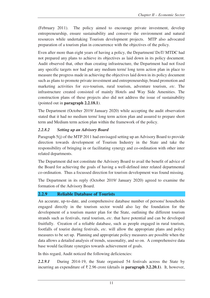(February 2011). The policy aimed to encourage private investment, develop entrepreneurship, ensure sustainability and conserve the environment and natural resources while undertaking Tourism development projects. MTP also advocated preparation of a tourism plan in concurrence with the objectives of the policy.

Even after more than eight years of having a policy, the Department/ DoT/ MTDC had not prepared any plans to achieve its objectives as laid down in its policy document. Audit observed that, other than creating infrastructure, the Department had not fixed any specific targets nor had put any medium term/ long term action plan in place to measure the progress made in achieving the objectives laid down in its policy document such as plans to promote private investment and entrepreneurship, brand promotion and marketing activities for eco-tourism, rural tourism, adventure tourism, *etc*. The infrastructure created consisted of mainly Hotels and Way Side Amenities. The construction plans of these projects also did not address the issue of sustainability (pointed out in **paragraph 2.2.18.1**).

The Department (October 2019/ January 2020) while accepting the audit observation stated that it had no medium term/ long term action plan and assured to prepare short term and Medium term action plan within the framework of the policy.

# *2.2.8.2 Setting up an Advisory Board*

Paragraph 5(j) of the MTP 2011 had envisaged setting up an Advisory Board to provide direction towards development of Tourism Industry in the State and take the responsibility of bringing in or facilitating synergy and co-ordination with other inter related departments.

The Department did not constitute the Advisory Board to avail the benefit of advice of the Board for achieving the goals of having a well-defined inter related departmental co-ordination. Thus a focussed direction for tourism development was found missing.

The Department in its reply (October 2019/ January 2020) agreed to examine the formation of the Advisory Board.

# **2.2.9 Reliable Database of Tourists**

An accurate, up-to-date, and comprehensive database number of persons/ households engaged directly in the tourism sector would also lay the foundation for the development of a tourism master plan for the State, outlining the different tourism strands such as festivals, rural tourism, *etc*. that have potential and can be developed fruitfully. Creation of a reliable database, such as people engaged in rural tourism, footfalls of tourist during festivals, *etc*. will allow the appropriate plans and policy measures to be set up. Planning and appropriate policy measures are possible when the data allows a detailed analysis of trends, seasonality, and so on. A comprehensive data base would facilitate synergies towards achievement of goals.

In this regard, Audit noticed the following deficiencies:

*2.2.9.1* During 2014-19, the State organised 54 festivals across the State by incurring an expenditure of ₹ 2.96 crore **(**details in **paragraph 3.2.20.1)**. It, however,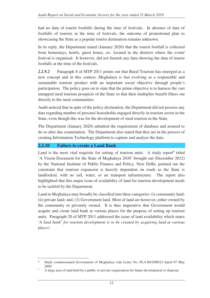had no data of tourist footfalls during the time of festivals. In absence of data of footfalls of tourists at the time of festivals, the outcome of promotional plan to showcasing the State as a popular tourist destination remains unknown.

In its reply, the Department stated (January 2020) that the tourist footfall is collected from homestays, hotels, guest house, *etc*. located in the districts where the event/ festival is organised. It however, did not furnish any data showing the data of tourist footfalls at the time of the festivals.

*2.2.9.2* Paragraph 8 of MTP 2011 points out that Rural Tourism has emerged as a new concept and in this context, Meghalaya is fast evolving as a responsible and sustainable tourism product with an important social objective through people's participation. The policy goes on to state that the prime objective is to harness the vast untapped rural tourism prospects of the State so that their multiplier benefit filters out directly to the rural communities.

Audit noticed that in spite of the policy declaration, the Department did not possess any data regarding number of persons/ households engaged directly in tourism sector in the State, even though this was for the development of rural tourism in the State.

The Department (January 2020) admitted the requirement of database and assured to do so after due examination. The Department also stated that they are in the process of creating Information Technology platform to capture and analyse the data.

# **2.2.10 Failure to create a Land Bank**

Land is the most vital requisite for setting of tourism units. A study report<sup>6</sup> titled 'A Vision Document for the State of Meghalaya 2030' brought out (December 2012) by the National Institute of Public Finance and Policy, New Delhi, pointed out the constraint that tourism expansion is heavily dependent on roads as the State is landlocked, with no rail, water, or air transport infrastructure. The report also highlighted that this major issue of availability of land for tourism development needs to be tackled by the Department.

Land in Meghalaya may broadly be classified into three categories: (i) community land; (ii) private land; and, (3) Government land. Most of land are however, either owned by the community or privately owned. It is thus imperative that Government would acquire and create land bank at various places for the purpose of setting up tourism units. Paragraph 20 of MTP 2011 addressed the issue of land availability which states '*A land bank<sup>7</sup> for tourism development is to be created by acquiring land at various places*'.

 $\overline{a}$ 6 Study commissioned Government of Meghalaya vide Letter No. PLA.86/2008/23 dated 07 May 2009.

<sup>7</sup> A large area of land held by a public or private organisation for future development or disposal.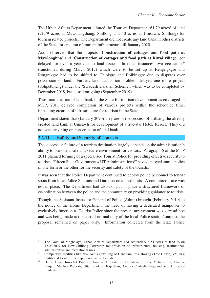The Urban Affairs Department allotted the Tourism Department 61.79 acres<sup>8</sup> of land (21.79 acres at Mawdiangdiang, Shillong and 40 acres at Umsawli, Shillong) for tourism related projects. The Department did not create any land bank in other districts of the State for creation of tourism infrastructure till January 2020.

Audit observed that the projects '**Construction of cottages and food path at Mawlongbna**' and '**Construction of cottages and food path at Riwai village**' got delayed for over a year due to land issues. In other instances, two eco-camps<sup>9</sup> (sanctioned during March 2017) which were to be set up at Rengrigkgre and Rongrekgre had to be shifted to Chiokgre and Bolkinggre due to disputes over possession of land. Further, land acquisition problem delayed one more project (Sohpetbneng) under the 'Swadesh Darshan Scheme', which was to be completed by December 2018, but is still on-going (September 2019).

Thus, non-creation of land bank in the State for tourism development as envisaged in MTP, 2011 delayed completion of various projects within the scheduled time, impacting creation of infrastructure for tourism in the State.

Department stated that (January 2020) they are in the process of utilising the already created land bank at Umsawli for development of a five-star Hotel/ Resort. They did not state anything on non-creation of land bank.

# **2.2.11 Safety and Security of Tourists**

The success or failure of a tourism destination largely depends on the administration's ability to provide a safe and secure environment for visitors. Paragraph 6 of the MTP 2011 planned forming of a specialised Tourist Police for providing effective security to tourists. Fifteen State Governments/ UT Administrations<sup>10</sup> have deployed tourist police in one form or the other for the security and safety of the tourists.

It was seen that the Police Department continued to deploy police personnel to tourist spots from local Police Stations and Outposts on a need basis. A committed force was not in place. The Department had also not put in place a structured framework of co-ordination between the police and the community on providing guidance to tourists.

Though the Assistant Inspector General of Police (Admn) brought (February 2019) to the notice of the Home Department, the need of having a dedicated manpower to exclusively function as Tourist Police since the present arrangement was very ad-hoc and was being made at the cost of normal duty of the local Police station/ outpost, the proposal remained on paper only. Information collected from the State Police

 $\overline{a}$ 8 The Govt. of Meghalaya, Urban Affairs Department had acquired 914.54 acres of land as on 12.03.2007 for New Shillong Township for provision of infrastructure, housing, institutional, administrative and recreational uses.

<sup>9</sup> Camps with facilities like Nok-Achik (dwelling of Garo families), Borang (Tree House), *etc.* in a traditional form for the experience of the tourists.

<sup>10</sup> Delhi, Goa, Himachal Pradesh, Jammu & Kashmir, Karnataka, Kerala, Maharashtra, Odisha, Punjab, Madhya Pradesh, Uttar Pradesh, Rajasthan, Andhra Pradesh, Nagaland and Arunachal Pradesh.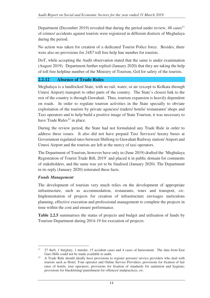Department (December 2019) revealed that during the period under review,  $48 \text{ cases}^{11}$ of crimes/ accidents against tourists were registered in different districts of Meghalaya during the period.

No action was taken for creation of a dedicated Tourist Police force. Besides, there were also no provisions for *24X7* toll free help line number for tourists.

DoT, while accepting the Audit observation stated that the same is under examination (August 2019). Department further replied (January 2020) that they are taking the help of toll free helpline number of the Ministry of Tourism, GoI for safety of the tourists.

# **2.2.12 Absence of Trade Rules**

Meghalaya is a landlocked State, with no rail, water, or air (except to Kolkata through Umroi Airport) transport to other parts of the country. The State's closest link to the rest of the country is through Guwahati. Thus, tourism expansion is heavily dependent on roads. In order to regulate tourism activities in the State specially to obviate exploitation of the tourists by private agencies/ traders/ hotels/ restaurants/ shops and Taxi operators and to help build a positive image of State Tourism, it was necessary to have Trade Rules<sup>12</sup> in place.

During the review period, the State had not formulated any Trade Rule in order to address these issues. It also did not have prepaid Taxi Services/ luxury buses at Government regulated rates between Shillong to Guwahati Railway station/ Airport and Umroi Airport and the tourists are left at the mercy of taxi operators.

The Department of Tourism, however have only in (June 2019) drafted the 'Meghalaya Registration of Tourist Trade Bill, 2019' and placed it in public domain for comments of stakeholders, and the same was yet to be finalised (January 2020). The Department in its reply (January 2020) reiterated these facts.

#### *Funds Management*

The development of tourism very much relies on the development of appropriate infrastructure, such as accommodation, restaurants, tours and transport, *etc.* Implementation of projects for creation of infrastructure envisages meticulous planning, effective execution and professional management to complete the projects in time within the cost and ensure performance.

**Table 2.2.5** summarises the status of projects and budget and utilisation of funds by Tourism Department during 2014-19 for execution of projects:

 $\overline{a}$ <sup>11</sup> 27 theft, 1 burglary, 1 murder, 15 accident cases and 4 cases of harassment. The data from East Garo Hills could not be made available to audit.

 $12$  A Trade Rule should ideally have provisions to register persons/ service providers who deal with tourists such as Hotel, Tour operator and Online Service Providers; provisions for fixation of fair rates of hotels, tour operators; provisions for fixation of standards for sanitation and hygiene; provisions for blacklisting/ punishment for offences/ malpractices, *etc*.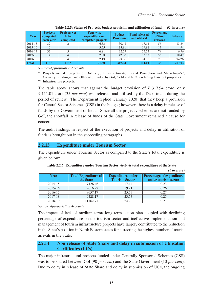*(₹ in crore)* 

| Year         | <b>Projects</b><br>completed<br>each year | <b>Projects yet</b><br>to be<br>completed | Year-wise<br>expenditure on<br>completed projects | <b>Budget</b><br><b>Provision</b> | <b>Fund released</b><br>and utilised | <b>Percentage</b><br>of fund<br>released | <b>Balance</b> |
|--------------|-------------------------------------------|-------------------------------------------|---------------------------------------------------|-----------------------------------|--------------------------------------|------------------------------------------|----------------|
| 2014-15      | 32                                        |                                           | 6.53                                              | 30.48                             | 17.14                                | 56                                       | 13.34          |
| 2015-16      | 16                                        |                                           | 3.75                                              | 113.91                            | 19.91                                |                                          | 94             |
| 2016-17      | 32                                        |                                           | 6.81                                              | 32.69                             | 25.73                                | 79                                       | 6.96           |
| 2017-18      | 14                                        |                                           | 2.08                                              | 42.00                             | 23.53                                | 56                                       | 18.47          |
| 2018-19      | 19                                        |                                           | 2.13                                              | 98.86                             | 24.70                                | 25                                       | 74.26          |
| <b>Total</b> | $113*$                                    | $15***$                                   | 21.30                                             | 317.94                            | 111.01                               | 35                                       | 207.03         |

| Table 2.2.5: Status of Projects, budget provision and utilisation of fund | $(\bar{\mathbf{\mathsf{z}}}$ in crore) |
|---------------------------------------------------------------------------|----------------------------------------|
|                                                                           |                                        |

*Source:-Appropriation Accounts.* 

Projects include projects of DoT *viz.*, Infrastructure-46; Brand Promotion and Marketing–52; Capacity Building-2; and Others-13 funded by GoI, GoM and NEC excluding lease out properties.

\*\* Infrastructure projects.

The table above shows that against the budget provision of  $\bar{\tau}$  317.94 crore, only ₹ 111.01 crore (35 *per cent*) was released and utilised by the Department during the period of review. The Department replied (January 2020) that they keep a provision for Central Sector Schemes (CSS) in the budget; however, there is a delay in release of funds by the Government of India. Since all the projects/ schemes are not funded by GoI, the shortfall in release of funds of the State Government remained a cause for concern.

The audit findings in respect of the execution of projects and delay in utilisation of funds is brought out in the succeeding paragraphs.

#### **2.2.13 Expenditure under Tourism Sector**

The expenditure under Tourism Sector as compared to the State's total expenditure is given below:

| Year    | <b>Total Expenditure of</b><br>the State | <b>Expenditure under</b><br><b>Tourism Sector</b> | <b>Percentage of expenditure</b><br>under tourism sector |
|---------|------------------------------------------|---------------------------------------------------|----------------------------------------------------------|
| 2014-15 | 7426.46                                  | 17.14                                             | 0.23                                                     |
| 2015-16 | 7616.97                                  | 19.91                                             | 0.26                                                     |
| 2016-17 | 9657.17                                  | 25.73                                             | 0.27                                                     |
| 2017-18 | 9428.17                                  | 23.53                                             | 0.25                                                     |
| 2018-19 | 11762.71                                 | 24.70                                             | 0.21                                                     |

| Table 2.2.6: Expenditure under Tourism Sector vis-à-vis total expenditure of the State |  |  |
|----------------------------------------------------------------------------------------|--|--|
|----------------------------------------------------------------------------------------|--|--|

*Source: Appropriation Accounts.*

The impact of lack of medium term/ long term action plan coupled with declining percentage of expenditure on the tourism sector and ineffective implementation and management of tourism infrastructure projects have largely contributed to the reduction in the State's position in North Eastern states for attracting the highest number of tourist arrivals in the State.

#### **2.2.14 Non release of State Share and delay in submission of Utilisation Certificates (UCs)**

The major infrastructural projects funded under Centrally Sponsored Schemes (CSS) was to be shared between GoI (90 *per cent*) and the State Government (10 *per cent*). Due to delay in release of State Share and delay in submission of UCs, the ongoing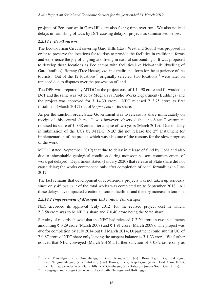projects of Eco-tourism in Garo Hills are also facing time over run. We also noticed delays in furnishing of UCs by DoT causing delay of projects as summarised below:

# *2.2.14.1 Eco-Tourism*

The Eco-Tourism Circuit covering Garo Hills (East, West and South) was proposed in order to preserve the locations for tourists to provide the facilities in traditional forms and experience the joy of angling and living in natural surroundings. It was proposed to develop these locations as Eco camps with facilities like Nok-Achik (dwelling of Garo families), Borang (Tree House), *etc.* in a traditional form for the experience of the tourists. Out of the 12 locations<sup>13</sup> originally selected, two locations<sup>14</sup> were later on replaced due to disputes over the possession of land.

The DPR was prepared by MTDC at the project cost of  $\bar{\tau}$  14.90 crore and forwarded to DoT and the same was vetted by Meghalaya Public Works Department (Buildings) and the project was approved for  $\bar{\tau}$  14.39 crore. NEC released  $\bar{\tau}$  3.75 crore as first instalment (March 2017) out of 90 *per cent* of its share.

As per the sanction order, State Government was to release its share immediately on receipt of this central share. It was however, observed that the State Government released its share of ₹ 0.38 crore after a lapse of two years (March 2019). Due to delay in submission of the UCs by MTDC, NEC did not release the  $2<sup>nd</sup>$  Instalment for implementation of the project which was also one of the reasons for the slow progress of the work.

MTDC stated (September 2019) that due to delay in release of fund by GoM and also due to inhospitable geological condition during monsoon season, commencement of work got delayed. Department stated (January 2020) that release of State share did not cause delay; the works commenced only after completion of codal formalities in June 2017.

The fact remains that development of eco-friendly projects was not taken up seriously since only 45 *per cent* of the total works was completed up to September 2018. All these delays have impacted creation of tourist facilities and thereby increase in tourism.

# *2.2.14.2 Improvement of Marngar Lake into a Tourist spot*

NEC accorded its approval (July 2012) for the revised project cost in which, ₹ 3.58 crore was to be NEC's share and ₹ 0.40 crore being the State share.

Scrutiny of records showed that the NEC had released ₹ 2.20 crore in two instalments amounting ₹ 0.29 crore (March 2008) and ₹ 1.91 crore (March 2009). The project was due for completion by July 2014 but till March 2014, Department could submit UC of  $\bar{\xi}$  0.87 crore of NEC share only leaving the unspent balance as  $\bar{\xi}$  1.33 crore. We further noticed that NEC conveyed (March 2016) a further sanction of ₹ 0.62 crore only as

 $13$ <sup>13</sup> (i) Mandalgre, (ii) Ampahanggre, (iii) Rengrigre, (iv) Rongrekgre, (v) Jakopgre, (vi) Nengmandalgre, (vii) Gitokgre, (viii) Bawegre, (ix) Rapdikgre (under East Garo Hills), (x) Dalmagre (under West Garo Hills), (xi) Gambagre, (xii) Bolsalgre (under South Garo Hills).

<sup>&</sup>lt;sup>14</sup> Rengrigre and Rongrekgre were replaced with Chiokgre and Bolkinggre.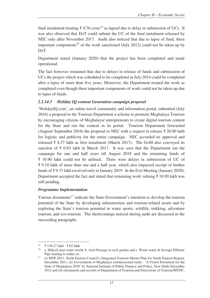final instalment treating  $\bar{\tau}$  0.76 crore<sup>15</sup> as lapsed due to delay in submission of UCs. It was also observed that DoT could submit the UC of the final instalment released by NEC only after November 2017. Audit also noticed that due to lapse of fund, three important components<sup>16</sup> of the work sanctioned (July 2012) could not be taken up by DoT.

Department stated (January 2020) that the project has been completed and made operational.

The fact however remained that due to delays in release of funds and submission of UCs the project which was scheduled to be completed in July 2014 could be completed after a lapse of more than five years. Moreover, the Department treated the work as completed even though three important components of work could not be taken up due to lapse of funds.

# *2.2.14.3 Holiday IQ content Generation campaign proposal*

'HolidayIQ.com', an online travel community and information portal, submitted (July 2016) a proposal to the Tourism Department a scheme to promote Meghalaya Tourism by encouraging citizens of Meghalaya/ entrepreneurs to create digital tourism content for the State and run the content in its portal. Tourism Department forwarded (August/ September 2016) the proposal to NEC with a request to release  $\bar{\tau}$  20.00 lakh for logistic and publicity for the entire campaign. NEC accorded its approval and released ₹ 8.27 lakh as first instalment (March 2017). The GoM also conveyed its sanction of  $\bar{\tau}$  0.83 lakh in March 2017. It was seen that the Department ran the campaign for one and half years till August 2018 and the remaining funds of ₹ 10.90 lakh could not be utilised. There were delays in submission of UC of ₹ 9.10 lakh of more than one and a half year, which also impacted receipt of further funds of ₹ 9.73 lakh received only in January 2019. In the Exit Meeting (January 2020), Department accepted the fact and stated that remaining work valuing  $\bar{\tau}$  10.90 lakh was still pending.

#### *Programme Implementation*

Various documents<sup>17</sup> indicate the State Government's intention to develop the tourism potential of the State by developing infrastructure and tourism-related assets and by exploring the State's tourism potential in water sports, wildlife, trekking, adventure tourism, and eco-tourism. The shortcomings noticed during audit are discussed in the succeeding paragraphs.

 $\overline{a}$ 15 <sup>15</sup> ₹ 138.27 lakh - ₹ 62 lakh.

a. Hillock near water world, b. Arch Passage in rock garden and c. Waste water  $\&$  Sewage Effluent Pipe leading to outlet *etc*.

<sup>&</sup>lt;sup>17</sup> (i) MTP 2011, North Eastern Council's Integrated Tourism Master Plan for North Eastern Region, December 2011, (ii) Government of Meghalaya commissioned study - 'A Vision Document for the State of Meghalaya 2030' by National Institute of Public Finance and Policy, New Delhi December 2012 and (iii) documents and records of Department of Tourism and Directorate of Tourism/MTDC.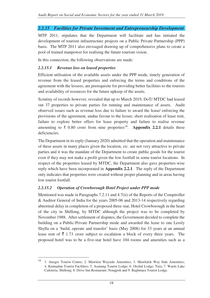# *2.2.15 Facilities for Private Investment and Entrepreneurship Development*

MTP 2011, stipulates that the Department will facilitate and has initiated the development of tourism infrastructure projects on a Public Private Partnership (PPP) basis. The MTP 2011 also envisaged drawing up of comprehensive plans to create a pool of trained manpower for realising the future tourism vision.

In this connection, the following observations are made:

# *2.2.15.1 Revenue loss on leased properties*

Efficient utilisation of the available assets under the PPP mode, timely generation of revenue from the leased properties and enforcing the terms and conditions of the agreement with the lessees, are prerequisite for providing better facilities to the tourists and availability of resources for the future upkeep of the assets.

Scrutiny of records however, revealed that up to March 2019, DoT/ MTDC had leased out 37 properties to private parties for running and maintenance of assets. Audit observed issues such as revenue loss due to failure to award the lease/ enforcing the provisions of the agreement, undue favour to the lessee, short realisation of lease rent, failure to explore better offers for lease property and failure to realise revenue amounting to  $\bar{\tau}$  0.80 crore from nine properties<sup>18</sup>. Appendix 2.2.1 details these deficiencies.

The Department in its reply (January 2020) admitted that the operation and maintenance of these assets in many places given the location, *etc.* are not very attractive to private parties and it was the mandate of the Department to create public goods for the tourist even if they may not make a profit given the low footfall in some tourist locations. In respect of the properties leased by MTDC, the Department also gave properties-wise reply which have been incorporated in **Appendix 2.2.1**. The reply of the Department only indicates that properties were created without proper planning and in areas having low tourist footfall.

# *2.2.15.2 Operation of Crowborough Hotel Project under PPP mode*

 $\overline{a}$ 

Mentioned was made in Paragraphs 7.2.11 and 4.7(ii) of the Reports of the Comptroller & Auditor General of India for the years 2005-06 and 2013-14 respectively regarding abnormal delay in completion of a proposed three-star, Hotel Crowborough in the heart of the city in Shillong, by MTDC although the project was to be completed by November 1988. After settlement of disputes, the Government decided to complete the building on a Public-Private Partnership mode and awarded the lease to one Lessly Shylla on a 'build, operate and transfer' basis (May 2008) for 33 years at an annual lease rent of  $\bar{\tau}$  1.73 crore subject to escalation a block of every three years. The proposed hotel was to be a five-star hotel have 104 rooms and amenities such as a

<sup>&</sup>lt;sup>18</sup> 1. Anogre Tourist Centre; 2. Mawlein Wayside Amenities; 3. Mawkdok Way Side Amenities; 4. Kutmadan Tourist Facilities; 5. Asanang Tourist Lodge; 6. Orchid Lodge; Tura; 7. Wards Lake Cafeteria; Shillong; 8. Drive Inn Restaurant; Nongpoh and 9. Baghmara Tourist Lodge.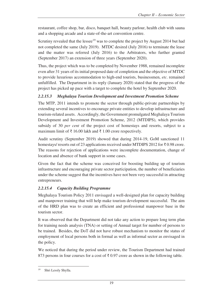restaurant, coffee shop, bar, disco, banquet hall, beauty parlour, health club with sauna and a shopping arcade and a state-of-the-art convention centre.

Scrutiny revealed that the lessee<sup>19</sup> was to complete the project by August 2014 but had not completed the same (July 2019). MTDC desired (July 2016) to terminate the lease and the matter was referred (July 2016) to the Arbitrators, who further granted (September 2017) an extension of three years (September 2020).

Thus, the project which was to be completed by November 1988, remained incomplete even after 31 years of its initial proposed date of completion and the objective of MTDC to provide luxurious accommodation to high-end tourists, businessmen, *etc*. remained unfulfilled. The Department in its reply (January 2020) stated that the progress of the project has picked up pace with a target to complete the hotel by September 2020.

# *2.2.15.3 Meghalaya Tourism Development and Investment Promotion Scheme*

The MTP, 2011 intends to promote the sector through public-private partnerships by extending several incentives to encourage private entities to develop infrastructure and tourism-related assets. Accordingly, the Government promulgated Meghalaya Tourism Development and Investment Promotion Scheme, 2012 (MTDIPS), which provides subsidy of 30 *per cent* of the project cost of homestays and resorts, subject to a maximum limit of ₹ 16.00 lakh and ₹ 1.00 crore respectively.

Audit scrutiny (September 2019) showed that during 2014-19, GoM sanctioned 11 homestays/ resorts out of 23 applications received under MTDIPS 2012 for ₹ 0.98 crore. The reasons for rejection of applications were incomplete documentation, change of location and absence of bank support in some cases.

Given the fact that the scheme was conceived for boosting building up of tourism infrastructure and encouraging private sector participation, the number of beneficiaries under the scheme suggest that the incentives have not been very successful in attracting entrepreneurs.

# *2.2.15.4 Capacity Building Programme*

Meghalaya Tourism Policy 2011 envisaged a well-designed plan for capacity building and manpower training that will help make tourism development successful. The aim of the HRD plan was to create an efficient and professional manpower base in the tourism sector.

It was observed that the Department did not take any action to prepare long term plan for training needs analysis (TNA) or setting of Annual target for number of persons to be trained. Besides, the DoT did not have robust mechanism to monitor the status of employment of local persons both in formal as well as informal sector as envisaged in the policy.

We noticed that during the period under review, the Tourism Department had trained 873 persons in four courses for a cost of  $\bar{\tau}$  0.97 crore as shown in the following table.

 $\overline{a}$ 19 Shri Lessly Shylla.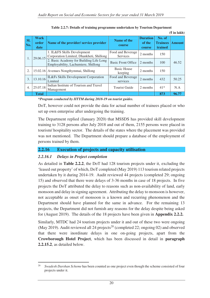|            |                              |                                                                                |                                      |                                     |                                      | $(\xi$ in lakh) |
|------------|------------------------------|--------------------------------------------------------------------------------|--------------------------------------|-------------------------------------|--------------------------------------|-----------------|
| Sl.<br>No. | <b>Work</b><br>order<br>date | Name of the provider/ service provider                                         | Name of the<br>course                | <b>Duration</b><br>of the<br>course | No. of<br><b>Trainees</b><br>trained | <b>Amount</b>   |
| 1.         | 29.06.15                     | 1. IL&FS Skills Development<br>Corporation Limited, Dhankheti, Shillong        | Food and Beverage<br><b>Services</b> | 2 months                            | 150                                  |                 |
|            |                              | 2. Basic Academy for Building Life Long<br>Employability, Lachumiere, Shillong | <b>Basic Front Office</b>            | 2 months                            | 100                                  | 46.52           |
| 2.         |                              | 15.02.16   Avenues Nongthymmai, Shillong                                       | <b>Basic House</b><br>keeping        | 2 months                            | 150                                  |                 |
| 3.         | 13.10.16                     | IL&Fs Skills Development Corporation<br>Limited                                | Food and Beverage<br>services        | 2 months                            | 432                                  | 50.25           |
| 4.         | 25.07.18                     | Indian Institute of Tourism and Travel<br>Management                           | <b>Tourist Guide</b>                 | 2 months                            | $41*$                                | N.A             |
|            | <b>Total</b>                 |                                                                                |                                      |                                     | 873                                  | 96.77           |

| Table 2.2.7: Details of training programme undertaken by Tourism Department |  |  |  |  |
|-----------------------------------------------------------------------------|--|--|--|--|
|-----------------------------------------------------------------------------|--|--|--|--|

*\*Program conducted by IITTM during 2018-19 on tourist guides.*

DoT, however could not provide the data for actual number of trainees placed or who set up own enterprise after undergoing the training.

The Department replied (January 2020) that MSSDS has provided skill development training to 3128 persons after July 2018 and out of them, 2155 persons were placed in tourism/ hospitality sector. The details of the states where the placement was provided was not mentioned. The Department should prepare a database of the employment of persons trained by them.

#### **2.2.16 Execution of projects and capacity utilisation**

#### *2.2.16.1 Delays in Project completion*

As detailed in **Table 2.2.2**, the DoT had 128 tourism projects under it, excluding the 'leased out property' of which, DoT completed (May 2019) 113 tourism related projects undertaken by it during 2014-19. Audit reviewed 44 projects (completed 29; ongoing 15) and observed that there were delays of 3-36 months in case of 18 projects. In five projects the DoT attributed the delay to reasons such as non-availability of land, early monsoon and delay in signing agreement. Attributing the delay to monsoon is however, not acceptable as onset of monsoon is a known and recurring phenomenon and the Department should have planned for the same in advance. For the remaining 13 projects, the Department did not furnish any reasons for the delay despite being asked for (August 2019). The details of the 18 projects have been given in **Appendix 2.2.2.** 

Similarly, MTDC had 24 tourism projects under it and out of these two were ongoing (May 2019). Audit reviewed all 24 projects<sup>20</sup> (completed 22; ongoing 02) and observed that there were inordinate delays in one on-going projects, apart from the **Crowborough Hotel Project**, which has been discussed in detail in **paragraph 2.2.15.2**, as detailed below.

<sup>&</sup>lt;sup>20</sup> *Swadesh Darshan Scheme* has been counted as one project even though the scheme consisted of four projects under it.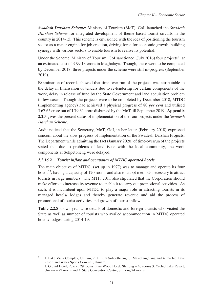*Swadesh Darshan Scheme***:** Ministry of Tourism (MoT), GoI, launched the *Swadesh Darshan Scheme* for integrated development of theme based tourist circuits in the country in 2014-15. This scheme is envisioned with the idea of positioning the tourism sector as a major engine for job creation, driving force for economic growth, building synergy with various sectors to enable tourism to realise its potential.

Under the Scheme, Ministry of Tourism, GoI sanctioned (July 2016) four projects<sup>21</sup> at an estimated cost of ₹ 99.13 crore in Meghalaya. Though, these were to be completed by December 2018, three projects under the scheme were still in-progress (September 2019).

Examination of records showed that time over-run of the projects was attributable to the delay in finalisation of tenders due to re-tendering for certain components of the work, delay in release of fund by the State Government and land acquisition problem in few cases. Though the projects were to be completed by December 2018, MTDC (implementing agency) had achieved a physical progress of 80 *per cent* and utilised ₹ 67.65 crore out of ₹ 79.31 crore disbursed by the MoT till September 2019. **Appendix 2.2.3** gives the present status of implementation of the four projects under the *Swadesh Darshan Scheme*.

Audit noticed that the Secretary, MoT, GoI, in her letter (February 2018) expressed concern about the slow progress of implementation of the Swadesh Darshan Projects. The Department while admitting the fact (January 2020) of time-overrun of the projects stated that due to problems of land issue with the local community, the work components at Sohpetbneng were delayed.

# *2.2.16.2 Tourist inflow and occupancy of MTDC operated hotels*

The main objective of MTDC, (set up in 1977) was to manage and operate its four hotels<sup>22</sup>, having a capacity of 120 rooms and also to adopt methods necessary to attract tourists in large numbers. The MTP, 2011 also stipulated that the Corporation should make efforts to increase its revenue to enable it to carry out promotional activities. As such, it is incumbent upon MTDC to play a major role in attracting tourists in its managed hotels/ lodges and thereby generate revenue and aid the process of promotional of tourist activities and growth of tourist inflow.

**Table 2.2.8** shows year-wise details of domestic and foreign tourists who visited the State as well as number of tourists who availed accommodation in MTDC operated hotels/ lodges during 2014-19.

 $\overline{a}$ <sup>21</sup> 1. Lake View Complex, Umiam; 2. U Lum Sohpetbneng; 3. Mawdiangdiang and 4. Orchid Lake Resort and Water Sports Complex, Umiam.

<sup>&</sup>lt;sup>22</sup> 1. Orchid Hotel, Polo - , 29 rooms. Pine Wood Hotel, Shillong – 40 rooms 3. Orchid Lake Resort, Umiam – 27 rooms and 4. State Convention Centre, Shillong 24 rooms.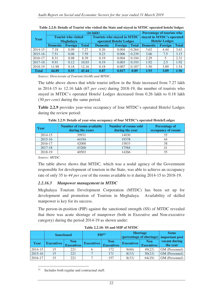|              | (in lakh)       |                            |              |                                    |                |                           |                      | <b>Percentage of tourists who</b> |              |  |  |
|--------------|-----------------|----------------------------|--------------|------------------------------------|----------------|---------------------------|----------------------|-----------------------------------|--------------|--|--|
| Year         |                 | <b>Tourist who visited</b> |              | <b>Tourists who stayed in MTDC</b> |                | stayed in MTDC's operated |                      |                                   |              |  |  |
|              |                 | <b>Meghalaya</b>           |              | operated Hotels/Lodges             |                |                           | <b>Hotels/Lodges</b> |                                   |              |  |  |
|              | <b>Domestic</b> | Foreign                    | <b>Total</b> | <b>Domestic</b>                    | <b>Foreign</b> | <b>Total</b>              | <b>Domestic</b>      | <b>Foreign</b>                    | <b>Total</b> |  |  |
| 2014-15      | 7.18            | 0.09                       | 7.27         | 0.26                               | 0.004          | 0.264                     | 3.62                 | 4.44                              | 3.63         |  |  |
| $2015 - 16$  | 7.51            | 0.08                       | 7.59         | 0.23                               | 0.006          | 0.239                     | 3.06                 | 7.5                               | 3.15         |  |  |
| 2016-17      | 8.31            | 0.08                       | 8.39         | 0.19                               | 0.004          | 0.194                     | 2.29                 |                                   | 2.31         |  |  |
| 2017-18      | 9.91            | 0.12                       | 10.03        | 0.19                               | 0.003          | 0.193                     | 1.92                 | 2.5                               | 1.92         |  |  |
| 2018-19      | 11.98           | 0.18                       | 12.16        | 0.18                               | 0.007          | 0.187                     | 1.50                 | 3.89                              | 1.54         |  |  |
| <b>Total</b> | 44.89           | 0.55                       | 45.44        | 0.87                               | 0.017          | 0.89                      | 1.93                 | 3.09                              | 1.96         |  |  |

| Table 2.2.8: Details of Tourist who visited the State and stayed in MTDC operated hotels/lodges |  |
|-------------------------------------------------------------------------------------------------|--|
|-------------------------------------------------------------------------------------------------|--|

*Source: Directorate of Tourism (GoM) and MTDC.* 

The table above shows that while tourist inflow in the State increased from 7.27 lakh in 2014-15 to 12.16 lakh (67 *per cent)* during 2018-19, the number of tourists who stayed in MTDC's operated Hotels/ Lodges decreased from 0.26 lakh to 0.18 lakh (30 *per cent)* during the same period.

**Table 2.2.9** provides year-wise occupancy of four MTDC's operated Hotels/ Lodges during the review period:

| Year        | <b>Number of rooms available</b><br>during the years | <b>Number of rooms sold</b><br>during the year | <b>Percentage of</b><br>occupancy of rooms |
|-------------|------------------------------------------------------|------------------------------------------------|--------------------------------------------|
| 2014-15     | 39931                                                | 14030                                          | 35                                         |
| $2015 - 16$ | 44194                                                | 19378                                          |                                            |
| 2016-17     | 42000                                                | 15833                                          | 38                                         |
| 2017-18     | 43268                                                | 17584                                          |                                            |
| 2018-19     | 40503                                                | 14266                                          |                                            |

**Table 2.2.9: Details of year-wise occupancy of four MTDC's operated Hotels/Lodges** 

*Source: MTDC.* 

The table above shows that MTDC, which was a nodal agency of the Government responsible for development of tourism in the State, was able to achieve an occupancy rate of only 35 to *44 per cent* of the rooms available to it during 2014-15 to 2018-19.

#### *2.2.16.3 Manpower management in MTDC*

Meghalaya Tourism Development Corporation (MTDC) has been set up for development and promotion of Tourism in Meghalaya. Availability of skilled manpower is key for its success.

The person-in-position (PIP) against the sanctioned strength (SS) of MTDC revealed that there was acute shortage of manpower (both in Executive and Non-executive category) during the period 2014-19 as shown under:

|         | <b>Sanctioned</b> |                                 | $\mathbf{PIP}^{23}$ |                                 | <b>Shortage</b><br>(percentage of shortage) important post |                                 | <b>Some</b>               |
|---------|-------------------|---------------------------------|---------------------|---------------------------------|------------------------------------------------------------|---------------------------------|---------------------------|
| Year    | <b>Executives</b> | <b>Non</b><br><b>Executives</b> | <b>Executives</b>   | <b>Non</b><br><b>Executives</b> | <b>Executives</b>                                          | <b>Non</b><br><b>Executives</b> | vacant during<br>the year |
| 2014-15 | 15                | 221                             |                     | 172                             | 9(60)                                                      | 49(22)                          | GM (Personnel)            |
| 2015-16 | 15                | 221                             |                     | 171                             | 8(53)                                                      | 50(23)                          | GM (Personnel)            |
| 2016-17 |                   | 221                             |                     | 157                             | 8(53)                                                      | 64(29)                          | GM (Personnel)            |

**Table 2.2.10: SS and MIP of MTDC** 

 $\overline{a}$ Includes both regular and contractual staff.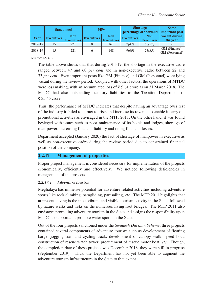|             | <b>Sanctioned</b> |                                 |                   | <b>Shortage</b><br>$\mathbf{PIP}^{23}$<br>(percentage of shortage) |                   |                                 | <b>Some</b><br>important post   |
|-------------|-------------------|---------------------------------|-------------------|--------------------------------------------------------------------|-------------------|---------------------------------|---------------------------------|
| Year        | <b>Executives</b> | <b>Non</b><br><b>Executives</b> | <b>Executives</b> | <b>Non</b><br><b>Executives</b>                                    | <b>Executives</b> | <b>Non</b><br><b>Executives</b> | vacant during<br>the year       |
| $2017 - 18$ | 15                | 221                             |                   | 161                                                                | 7(47)             | 60(27)                          |                                 |
| 2018-19     | 15                | 221                             | h                 | 148                                                                | 9(60)             | 73(33)                          | GM (Finance),<br>GM (Personnel) |

*Source: MTDC.*

The table above shows that that during 2014-19, the shortage in the executive cadre ranged between 47 and 60 *per cent* and in non-executive cadre between 22 and 33 *per cent*. Even important posts like GM (Finance) and GM (Personnel) were lying vacant during the review period. Coupled with other factors, the operations of MTDC were loss making, with an accumulated loss of ₹ 9.61 crore as on 31 March 2018. The MTDC had also outstanding statutory liabilities to the Taxation Department of ₹ 35.45 crore.

Thus, the performance of MTDC indicates that despite having an advantage over rest of the industry it failed to attract tourists and increase its revenue to enable it carry out promotional activities as envisaged in the MTP, 2011. On the other hand, it was found besieged with issues such as poor maintenance of its hotels and lodges, shortage of man-power, increasing financial liability and rising financial losses.

Department accepted (January 2020) the fact of shortage of manpower in executive as well as non-executive cadre during the review period due to constrained financial position of the company.

#### **2.2.17.0 Management of properties**

Proper project management is considered necessary for implementation of the projects economically, efficiently and effectively. We noticed following deficiencies in management of the projects.

#### *2.2.17.1 Adventure tourism*

Meghalaya has immense potential for adventure related activities including adventure sports like rock climbing, paragliding, parasailing, *etc*. The MTP 2011 highlights that at present caving is the most vibrant and visible tourism activity in the State, followed by nature walks and treks on the numerous living root bridges. The MTP 2011 also envisages promoting adventure tourism in the State and assigns the responsibility upon MTDC to support and promote water sports in the State.

Out of the four projects sanctioned under the *Swadesh Darshan Scheme*, three projects contained several components of adventure tourism such as development of floating barge, jogging trail and cycling track, development of canopy walk, speed boat, construction of rescue watch tower, procurement of rescue motor boat, *etc*. Though, the completion date of these projects was December 2018, they were still in-progress (September 2019). Thus, the Department has not yet been able to augment the adventure tourism infrastructure in the State to that extent.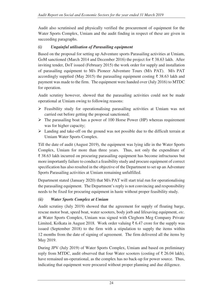Audit also scrutinised and physically verified the procurement of equipment for the Water Sports Complex, Umiam and the audit finding in respect of these are given in succeeding paragraphs.

# *(i) Ungainful utilisation of Parasailing equipment*

Based on the proposal for setting up Adventure sports Parasailing activities at Umiam, GoM sanctioned (March 2014 and December 2016) the project for ₹ 38.63 lakh. After inviting tender, DoT issued (February 2015) the work order for supply and installation of parasailing equipment to M/s Pioneer Adventure Tours (M/s PAT). M/s PAT accordingly supplied (May 2015) the parasailing equipment costing ₹ 38.63 lakh and payment was made to the firm. The equipment were handed over (July 2016) to MTDC for operation.

Audit scrutiny however, showed that the parasailing activities could not be made operational at Umiam owing to following reasons:

- $\triangleright$  Feasibility study for operationalising parasailing activities at Umiam was not carried out before getting the proposal sanctioned;
- $\triangleright$  The parasailing boat has a power of 100 Horse Power (HP) whereas requirement was for higher capacity;
- $\triangleright$  Landing and take-off on the ground was not possible due to the difficult terrain at Umiam Water Sports Complex.

Till the date of audit (August 2019), the equipment was lying idle in the Water Sports Complex, Umiam for more than three years. Thus, not only the expenditure of ₹ 38.63 lakh incurred on procuring parasailing equipment has become infructuous but more importantly failure to conduct a feasibility study and procure equipment of correct specification has also resulted in the objective of the Department to set up an Adventure Sports Parasailing activities at Umiam remaining unfulfilled.

Department stated (January 2020) that M/s PAT will start trial run for operationalising the parasailing equipment. The Department's reply is not convincing and responsibility needs to be fixed for procuring equipment in haste without proper feasibility study.

# *(ii) Water Sports Complex at Umiam*

Audit scrutiny (July 2019) showed that the agreement for supply of floating barge, rescue motor boat, speed boat, water scooters, body jorb and lifesaving equipment, *etc.* at Water Sports Complex, Umiam was signed with Cleghorn Meg Company Private Limited, Kolkata in August 2018. Work order valuing ₹ 6.47 crore for the supply was issued (September 2018) to the firm with a stipulation to supply the items within 12 months from the date of signing of agreement. The firm delivered all the items by May 2019.

During JPV (July 2019) of Water Sports Complex, Umiam and based on preliminary reply from MTDC, audit observed that four Water scooters (costing of  $\bar{\tau}$  26.04 lakh), have remained un-operational, as the complex has no back-up for power source. Thus, indicating that equipment were procured without proper planning and due diligence.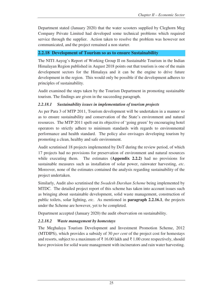Department stated (January 2020) that the water scooters supplied by Cleghorn Meg Company Private Limited had developed some technical problems which required service through the supplier. Action taken to resolve the problem was however not communicated, and the project remained a non starter.

# **2.2.18 Development of Tourism so as to ensure Sustainability**

The NITI Aayog's Report of Working Group II on Sustainable Tourism in the Indian Himalayan Region published in August 2018 points out that tourism is one of the main development sectors for the Himalaya and it can be the engine to drive future development in the region. This would only be possible if the development adheres to principles of sustainability.

Audit examined the steps taken by the Tourism Department in promoting sustainable tourism. The findings are given in the succeeding paragraph.

# *2.2.18.1 Sustainability issues in implementation of tourism projects*

As per Para 3 of MTP 2011, Tourism development will be undertaken in a manner so as to ensure sustainability and conservation of the State's environment and natural resources. The MTP 2011 spelt out its objective of 'going green' by encouraging hotel operators to strictly adhere to minimum standards with regards to environmental performance and health standard. The policy also envisages developing tourism by promoting a clean, healthy and safe environment.

Audit scrutinised 18 projects implemented by DoT during the review period, of which 17 projects had no provisions for preservation of environment and natural resources while executing them. The estimates **(Appendix 2.2.2)** had no provisions for sustainable measures such as installation of solar power, rainwater harvesting, *etc*. Moreover, none of the estimates contained the analysis regarding sustainability of the project undertaken.

Similarly, Audit also scrutinised the *Swadesh Darshan Scheme* being implemented by MTDC. The detailed project report of this scheme has taken into account issues such as bringing about sustainable development, solid waste management, construction of public toilets, solar lighting, *etc*. As mentioned in **paragraph 2.2.16.1**, the projects under the Scheme are however, yet to be completed.

Department accepted (January 2020) the audit observation on sustainability.

# *2.2.18.2 Waste management by homestays*

The Meghalaya Tourism Development and Investment Promotion Scheme, 2012 (MTDIPS), which provides a subsidy of 30 *per cent* of the project cost for homestays and resorts, subject to a maximum of  $\bar{\tau}$  16.00 lakh and  $\bar{\tau}$  1.00 crore respectively, should have provision for solid waste management with incinerators and rain water harvesting.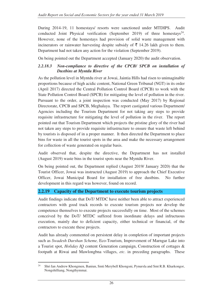During 2014-19, 11 homestays/ resorts were sanctioned under MTDIPS. Audit conducted Joint Physical verification (September 2019) of three homestays<sup>24</sup>. However, none of the homestays had provision of solid waste management with incinerators or rainwater harvesting despite subsidy of  $\bar{\tau}$  14.26 lakh given to them. Department had not taken any action for the violation (September 2019).

On being pointed out the Department accepted (January 2020) the audit observation.

# *2.2.18.3 Non-compliance to directive of the CPCB/ SPCB on installation of Dustbins at Myntdu River*

As the pollution level in Myntdu river at Jowai, Jaintia Hills had risen to unimaginable proportions because of high acidic content, National Green Tribunal (NGT) in its order (April 2017) directed the Central Pollution Control Board (CPCB) to work with the State Pollution Control Board (SPCB) for mitigating the level of pollution in the river. Pursuant to the order, a joint inspection was conducted (May 2017) by Regional Directorate, CPCB and SPCB, Meghalaya. The report castigated various Department/ Agencies including the Tourism Department for not taking any steps to provide requisite infrastructure for mitigating the level of pollution in the river. The report pointed out that Tourism Department which projects the pristine glory of the river had not taken any steps to provide requisite infrastructure to ensure that waste left behind by tourists is disposed of in a proper manner. It then directed the Department to place bins for waste in all the tourist spots in the area and make the necessary arrangement for collection of waste generated on regular basis.

Audit observed that, despite the directive, the Department has not installed (August 2019) waste bins in the tourist spots near the Myntdu River.

On being pointed out, the Department replied (August 2019/ January 2020) that the Tourist Officer, Jowai was instructed (August 2019) to approach the Chief Executive Officer, Jowai Municipal Board for installation of free dustbins. No further development in this regard was however, found on record.

# **2.2.19 Capacity of the Department to execute tourism projects**

Audit findings indicate that DoT/ MTDC have neither been able to attract experienced contractors with good track records to execute tourism projects nor develop the competence themselves to execute projects successfully on time. Most of the schemes conceived by the DoT/ MTDC suffered from inordinate delays and infructuous execution, mainly due to deficient capacity, either technical or financial, of the contractors to execute these projects.

Audit has already commented on persistent delay in completion of important projects such as *Swadesh Darshan Scheme,* Eco-Tourism, Improvement of Marngar Lake into a Tourist spot, *Holiday IQ* content Generation campaign, Construction of cottages & footpath at Riwai and Mawlongbna villages, *etc*. in preceding paragraphs. These

 $24$ <sup>24</sup> Shri Ian Andrew Khongmen, Baniun, Smti Merybell Khongsni, Pynursla and Smt R.B. Kharkongor, Nongshilliang, Nongthymmai.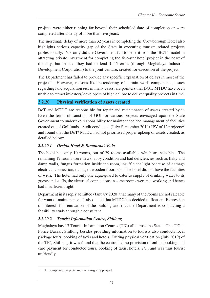projects were either running far beyond their scheduled date of completion or were completed after a delay of more than five years.

The inordinate delay of more than 32 years in completing the Crowborough Hotel also highlights serious capacity gap of the State in executing tourism related projects professionally. Not only did the Government fail to benefit from the 'BOT' model in attracting private investment for completing the five-star hotel project in the heart of the city, but instead they had to lend  $\bar{\tau}$  45 crore (through Meghalaya Industrial Development Corporation) to the joint venture, created for execution of the project.

The Department has failed to provide any specific explanation of delays in most of the projects. However, reasons like re-tendering of certain work components, issues regarding land acquisition *etc.* in many cases, are pointers that DOT/ MTDC have been unable to attract investors/ developers of high calibre to deliver quality projects in time.

# **2.2.20 Physical verification of assets created**

DoT and MTDC are responsible for repair and maintenance of assets created by it. Even the terms of sanction of GOI for various projects envisaged upon the State Government to undertake responsibility for maintenance and management of facilities created out of GoI funds. Audit conducted (July/ September 2019) JPV of 12 projects<sup>25</sup> and found that the DoT/ MTDC had not prioritised proper upkeep of assets created, as detailed below:

# *2.2.20.1 Orchid Hotel & Restaurant, Polo*

The hotel had only 10 rooms, out of 29 rooms available, which are saleable. The remaining 19 rooms were in a shabby condition and had deficiencies such as flaky and damp walls, fungus formation inside the room, insufficient light because of damage electrical connection, damaged wooden floor, *etc*. The hotel did not have the facilities of wi-fi. The hotel had only one aqua-guard to cater to supply of drinking water to its guests and staffs, the electrical connections in some rooms were not working and hence had insufficient light.

Department in its reply admitted (January 2020) that many of the rooms are not saleable for want of maintenance. It also stated that MTDC has decided to float an 'Expression of Interest' for renovation of the building and that the Department is conducting a feasibility study through a consultant.

# *2.2.20.2 Tourist Information Centre, Shillong*

Meghalaya has 13 Tourist Information Centres (TIC) all across the State. The TIC at Police Bazaar, Shillong besides providing information to tourists also conducts local package tours, booking of taxis and hotels. During physical verification (July 2019) of the TIC, Shillong, it was found that the centre had no provision of online booking and card payment for conducted tours, booking of taxis, hotels, *etc*., and was thus tourist unfriendly.

 $\overline{a}$ 11 completed projects and one on-going project.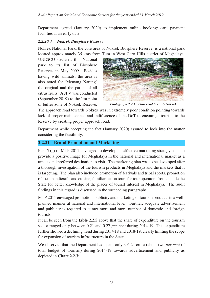Department agreed (January 2020) to implement online booking/ card payment facilities at an early date.

#### *2.2.20.3 Nokrek Biosphere Reserve*

Nokrek National Park, the core area of Nokrek Biosphere Reserve, is a national park located approximately 35 kms from Tura in West Garo Hills district of Meghalaya.

UNESCO declared this National park to its list of Biosphere Reserves in May 2009. Besides having wild animals, the area is also noted for 'Memang Narang' the original and the parent of all citrus fruits. A JPV was conducted (September 2019) to the last point of buffer zone of Nokrek Reserve.



*Photograph 2.2.1.: Poor road towards Nokrek.*

The approach road towards Nokrek was in extremely poor condition pointing towards lack of proper maintenance and indifference of the DoT to encourage tourists to the Reserve by creating proper approach road.

Department while accepting the fact (January 2020) assured to look into the matter considering the feasibility.

# **2.2.21 Brand Promotion and Marketing**

Para 5 (g) of MTP 2011 envisaged to develop an effective marketing strategy so as to provide a positive image for Meghalaya in the national and international market as a unique and preferred destination to visit. The marketing plan was to be developed after a thorough investigation of the tourism products in Meghalaya and the markets that it is targeting. The plan also included promotion of festivals and tribal sports, promotion of local handicrafts and cuisine, familiarisation tours for tour operators from outside the State for better knowledge of the places of tourist interest in Meghalaya. The audit findings in this regard is discussed in the succeeding paragraphs.

MTP 2011 envisaged promotion, publicity and marketing of tourism products in a wellplanned manner at national and international level. Further, adequate advertisement and publicity is required to attract more and more number of domestic and foreign tourists.

It can be seen from the **table 2.2.5** above that the share of expenditure on the tourism sector ranged only between 0.21 and 0.27 *per cent* during 2014-19. This expenditure further showed a declining trend during 2017-18 and 2018-19, clearly limiting the scope for expansion of tourism infrastructure in the State.

We observed that the Department had spent only ₹ 6.24 crore (about two *per cent* of total budget of tourism) during 2014-19 towards advertisement and publicity as depicted in **Chart 2.2.3:**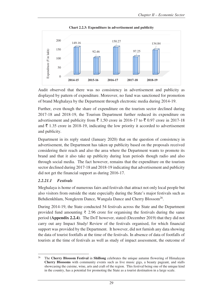

**Chart 2.2.3: Expenditure in advertisement and publicity** 

Audit observed that there was no consistency in advertisement and publicity as displayed by pattern of expenditure. Moreover, no fund was sanctioned for promotion of brand Meghalaya by the Department through electronic media during 2014-19.

Further, even though the share of expenditure on the tourism sector declined during 2017-18 and 2018-19, the Tourism Department further reduced its expenditure on advertisement and publicity from  $\bar{\xi}$  1,50 crore in 2016-17 to  $\bar{\xi}$  0.97 crore in 2017-18 and  $\bar{\xi}$  1.35 crore in 2018-19, indicating the low priority it accorded to advertisement and publicity.

Department in its reply stated (January 2020) that on the question of consistency in advertisement, the Department has taken up publicity based on the proposals received considering their reach and also the area where the Department wants to promote its brand and that it also take up publicity during lean periods though radio and also through social media. The fact however, remains that the expenditure on the tourism sector declined during 2017-18 and 2018-19 indicating that advertisement and publicity did not get the financial support as during 2016-17.

#### *2.2.21.1 Festivals*

Meghalaya is home of numerous fairs and festivals that attract not only local people but also visitors from outside the state especially during the State's major festivals such as Behdienkhlam, Nongkrem Dance, Wangala Dance and Cherry Blossom<sup>26</sup>.

During 2014-19, the State conducted 54 festivals across the State and the Department provided fund amounting  $\bar{\xi}$  2.96 crore for organising the festivals during the same period **(Appendix 2.2.4)**. The DoT however, stated (December 2019) that they did not carry out any Impact Study/ Review of the festivals organised, for which financial support was provided by the Department. It however, did not furnish any data showing the data of tourist footfalls at the time of the festivals. In absence of data of footfalls of tourists at the time of festivals as well as study of impact assessment, the outcome of

 $26\,$ <sup>26</sup> The **Cherry Blossom Festival** in **Shillong** celebrates the unique autumn flowering of Himalayan **Cherry Blossoms** with community events such as live music gigs, a beauty pageant, and stalls showcasing the cuisine, wine, arts and craft of the region. This festival being one of the unique kind in the country, has a potential for promoting the State as a tourist destination in a large scale.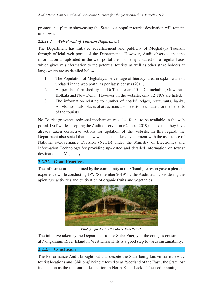promotional plan to showcasing the State as a popular tourist destination will remain unknown.

# *2.2.21.2 Web Portal of Tourism Department*

The Department has initiated advertisement and publicity of Meghalaya Tourism through official web portal of the Department. However, Audit observed that the information as uploaded in the web portal are not being updated on a regular basis which gives misinformation to the potential tourists as well as other stake holders at large which are as detailed below:

- 1. The Population of Meghalaya, percentage of literacy, area in sq.km was not updated in the web portal as per latest census (2011).
- 2. As per data furnished by the DoT, there are 15 TICs including Guwahati, Kolkata and New Delhi. However, in the website, only 12 TICs are listed.
- 3. The information relating to number of hotels/ lodges, restaurants, banks, ATMs, hospitals, places of attractions also need to be updated for the benefits of the tourists.

No Tourist grievance redressal mechanism was also found to be available in the web portal. DoT while accepting the Audit observation (October 2019), stated that they have already taken corrective actions for updation of the website. In this regard, the Department also stated that a new website is under development with the assistance of National e-Governance Division (NeGD) under the Ministry of Electronics and Information Technology for providing up- dated and detailed information on tourist destinations in Meghalaya.

#### **2.2.22 Good Practices**

The infrastructure maintained by the community at the Chandigre resort gave a pleasant experience while conducting JPV (September 2019) by the Audit team considering the apiculture activities and cultivation of organic fruits and vegetables.



*Photograph 2.2.2: Chandigre Eco-Resort.* 

The initiative taken by the Department to use Solar Energy at the cottages constructed at Nongkhnum River Island in West Khasi Hills is a good step towards sustainability.

#### **2.2.23 Conclusion**

The Performance Audit brought out that despite the State being known for its exotic tourist locations and 'Shillong' being referred to as 'Scotland of the East', the State lost its position as the top tourist destination in North-East. Lack of focused planning and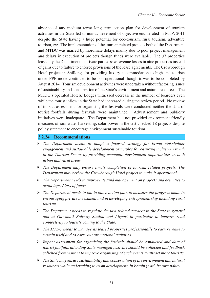absence of any medium term/ long term action plan for development of tourism activities in the State led to non-achievement of objective enumerated in MTP, 2011 despite the State having a huge potential for eco-tourism, rural tourism, adventure tourism, *etc*. The implementation of the tourism related projects both of the Department and MTDC was marred by inordinate delays mainly due to poor project management and delays in execution of projects though funds were available. The 37 properties leased by the Department to private parties saw revenue losses in nine properties instead of gains due to failure to enforce provisions of the lease agreements. The Crowborough Hotel project in Shillong, for providing luxury accommodation to high end tourists under PPP mode continued to be non-operational though it was to be completed by August 2014. Tourism development activities were undertaken without factoring issues of sustainability and conservation of the State's environment and natural resources. The MTDC's operated Hotels/ Lodges witnessed decrease in the number of boarders even while the tourist inflow in the State had increased during the review period. No review of impact assessment for organising the festivals were conducted neither the data of tourist footfalls during festivals were maintained. Advertisement and publicity initiatives were inadequate. The Department had not provided environment friendly measures of rain water harvesting, solar power in the test checked 18 projects despite policy statement to encourage environment sustainable tourism.

# **2.2.24 Recommendations**

- *The Department needs to adopt a focused strategy for broad stakeholder engagement and sustainable development principles for ensuring inclusive growth in the Tourism Sector by providing economic development opportunities in both urban and rural areas.*
- *The Department may ensure timely completion of tourism related projects. The Department may review the Crowborough Hotel project to make it operational.*
- *The Department needs to improve its fund management on projects and activities to avoid lapse/ loss of funds.*
- *The Department needs to put in place action plan to measure the progress made in encouraging private investment and in developing entrepreneurship including rural tourism.*
- *The Department needs to regulate the taxi related services in the State in general and at Guwahati Railway Station and Airport in particular to improve road connectivity to tourists coming to the State.*
- *The MTDC needs to manage its leased properties professionally to earn revenue to sustain itself and to carry out promotional activities.*
- *Impact assessment for organising the festivals should be conducted and data of tourist footfalls attending State managed festivals should be collected and feedback solicited from visitors to improve organising of such events to attract more tourists.*
- *The State may ensure sustainability and conservation of the environment and natural resources while undertaking tourism development, in keeping with its own policy.*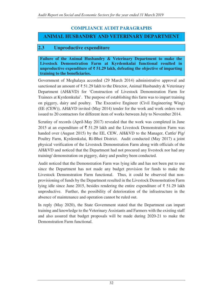# **COMPLIANCE AUDIT PARAGRAPHS**

# **ANIMAL HUSBANDRY AND VETERINARY DEPARTMENT**

# **2.3 Unproductive expenditure**

**Failure of the Animal Husbandry & Veterinary Department to make the Livestock Demonstration Farm at Kyrdemkulai functional resulted in unproductive expenditure of ₹ 51.29 lakh, defeating the objective of imparting training to the beneficiaries.**

Government of Meghalaya accorded (29 March 2014) administrative approval and sanctioned an amount of  $\bar{\xi}$  51.29 lakh to the Director, Animal Husbandry & Veterinary Department (AH&VD) for 'Construction of Livestock Demonstration Farm for Trainees at Kyrdemkulai'. The purpose of establishing this farm was to impart training on piggery, dairy and poultry. The Executive Engineer (Civil Engineering Wing) (EE (CEW)), AH&VD invited (May 2014) tender for the work and work orders were issued to 20 contractors for different item of works between July to November 2014.

Scrutiny of records (April-May 2017) revealed that the work was completed in June 2015 at an expenditure of  $\bar{\tau}$  51.29 lakh and the Livestock Demonstration Farm was handed over (August 2015) by the EE, CEW, AH&VD to the Manager, Cattle/ Pig/ Poultry Farm, Kyrdemkulai, Ri-Bhoi District. Audit conducted (May 2017) a joint physical verification of the Livestock Demonstration Farm along with officials of the AH&VD and noticed that the Department had not procured any livestock nor had any training/ demonstration on piggery, dairy and poultry been conducted.

Audit noticed that the Demonstration Farm was lying idle and has not been put to use since the Department has not made any budget provision for funds to make the Livestock Demonstration Farm functional. Thus, it could be observed that nonprovisioning of funds by the Department resulted in the Livestock Demonstration Farm lying idle since June 2015, besides rendering the entire expenditure of ₹ 51.29 lakh unproductive. Further, the possibility of deterioration of the infrastructure in the absence of maintenance and operation cannot be ruled out.

In reply (May 2020), the State Government stated that the Department can impart training and knowledge to the Veterinary Assistants and Farmers with the existing staff and also assured that budget proposals will be made during 2020-21 to make the Demonstration Farm functional.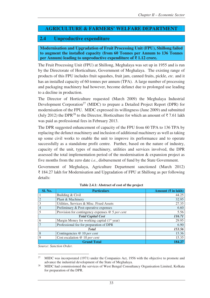# **AGRICULTURE & FARMERS' WELFARE DEPARTMENT**

# **2.4 Unproductive expenditure**

**Modernisation and Upgradation of Fruit Processing Unit (FPU), Shillong failed to augment the installed capacity (from 60 Tonnes per Annum to 136 Tonnes per Annum) leading to unproductive expenditure of ₹ 1.12 crore.** 

The Fruit Processing Unit (FPU) at Shillong, Meghalaya was set up in 1955 and is run by the Directorate of Horticulture, Government of Meghalaya. The existing range of products of this FPU includes fruit squashes, fruit jam, canned fruits, pickle, *etc.* and it has an installed capacity of 60 tonnes per annum (TPA). A large number of processing and packaging machinery had however, become defunct due to prolonged use leading to a decline in production.

The Director of Horticulture requested (March 2009) the Meghalaya Industrial Development Corporation<sup>27</sup> (MIDC) to prepare a Detailed Project Report (DPR) for modernisation of the FPU. MIDC expressed its willingness (June 2009) and submitted (July 2012) the DPR<sup>28</sup> to the Director, Horticulture for which an amount of  $\bar{\tau}$  7.61 lakh was paid as professional fees in February 2013.

The DPR suggested enhancement of capacity of the FPU from 60 TPA to 136 TPA by replacing the defunct machinery and inclusion of additional machinery as well as taking up some civil works to enable the unit to improve its performance and to operate successfully as a standalone profit centre. Further, based on the nature of industry, capacity of the unit, types of machinery, utilities and services involved, the DPR assessed the total implementation period of the modernisation & expansion project as five months from the zero date *i.e.*, disbursement of fund by the State Government.

Government of Meghalaya, Agriculture Department sanctioned (March 2012) ₹ 184.27 lakh for Modernisation and Upgradation of FPU at Shillong as per following details:

| Sl. No.     | <b>Particulars</b>                                      | Amount $(\bar{\mathbf{\mathsf{z}}}$ in lakh) |
|-------------|---------------------------------------------------------|----------------------------------------------|
|             | Building & Civil                                        | 44.25                                        |
|             | Plant & Machinery                                       | 32.95                                        |
|             | Utilities, Services & Misc. Fixed Assets                | 27.35                                        |
|             | Preliminary & Post-operative expenses                   | 6.60                                         |
|             | Provision for contingency expenses $@$ 5 per cent       | 5.56                                         |
|             | <b>Total Capital Cost</b>                               | 116.71                                       |
| 6           | Margin Money for working capital (1 <sup>st</sup> year) | 29.95                                        |
|             | Professional fee for preparation of DPR                 | 6.90                                         |
|             | <b>T</b> otal                                           | 153.56                                       |
| 8           | Contingencies $@$ 10 per cent                           | 15.36                                        |
| $\mathbf Q$ | Cost escalation $@$ 10 per cent                         | 15.35                                        |
|             | <b>Grand Total</b>                                      | 184.27                                       |

| Table 2.4.1: Abstract of cost of the project |  |  |  |  |
|----------------------------------------------|--|--|--|--|
|----------------------------------------------|--|--|--|--|

*Source: Sanction Order.* 

<sup>27</sup> <sup>27</sup> MIDC was incorporated (1971) under the Companies Act, 1956 with the objective to promote and advance the industrial development of the State of Meghalaya.

<sup>&</sup>lt;sup>28</sup> MIDC had commissioned the services of West Bengal Consultancy Organisation Limited, Kolkata for preparation of the DPR.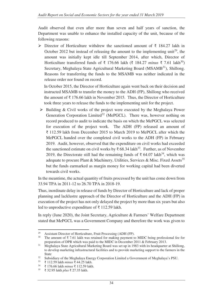Audit observed that even after more than seven and half years of sanction, the Department was unable to enhance the installed capacity of the unit, because of the following reasons:

 $\triangleright$  Director of Horticulture withdrew the sanctioned amount of ₹ 184.27 lakh in October 2012 but instead of releasing the amount to the implementing unit<sup>29</sup>, the amount was initially kept idle till September 2014, after which, Director of Horticulture transferred funds of ₹ 176.66 lakh (₹ 184.27 *minus* ₹ 7.61 lakh<sup>30</sup>) Secretary, Meghalaya State Agricultural Marketing Board (MSAMB<sup>31</sup>), Shillong. Reasons for transferring the funds to the MSAMB was neither indicated in the release order nor found on record.

In October 2015, the Director of Horticulture again went back on their decision and instructed MSAMB to transfer the money to the ADH (FP), Shillong who received the amount of  $\bar{\tau}$  176.66 lakh in November 2015. Thus, the Director of Horticulture took three years to release the funds to the implementing unit for the project.

 $\triangleright$  Building & Civil works of the project were executed by the Meghalaya Power Generation Corporation Limited<sup>32</sup> (MePGCL). There was, however nothing on record produced to audit to indicate the basis on which the MePGCL was selected for execution of the project work. The ADH (FP) released an amount of ₹ 112.59 lakh from December 2015 to March 2019 to MePGCL after which the MePGCL handed over the completed civil works to the ADH (FP) in February 2019. Audit, however, observed that the expenditure on civil works had exceeded the sanctioned estimate on civil works by  $\bar{\tau}$  68.34 lakh<sup>33</sup>. Further, as of November 2019, the Directorate still had the remaining funds of ₹ 64.07 lakh<sup>34</sup>, which was adequate to procure Plant & Machinery, Utilities, Services & Misc. Fixed Assets<sup>35</sup> but the funds earmarked as margin money for working capital had been diverted towards civil works.

In the meantime, the actual quantity of fruits processed by the unit has come down from 33.94 TPA in 2011-12 to 26.70 TPA in 2018-19.

Thus, inordinate delay in release of funds by Director of Horticulture and lack of proper planning and lacklustre approach of the Director of Horticulture and the ADH (FP) in execution of the project has not only delayed the project by more than six years but also led to unproductive expenditure of ₹ 112.59 lakh.

In reply (June 2020), the Joint Secretary, Agriculture & Farmers' Welfare Department stated that MePGCL was a Government Company and therefore the work was given to

 $\overline{a}$ <sup>29</sup> Assistant Director of Horticulture, Fruit Processing (ADH (FP).<br><sup>30</sup> The amount of  $\overline{z}$  7.61 lakh was retained for making nayment to

The amount of  $\bar{\tau}$  7.61 lakh was retained for making payment to MIDC being professional fee for preparation of DPR which was paid to the MIDC in December 2011 & February 2013.

<sup>&</sup>lt;sup>31</sup> Meghalaya State Agricultural Marketing Board was set up in 1983 with its headquarter at Shillong, to develop marketing infrastructural facilities and to provide marketing support to the farmers in the State

<sup>&</sup>lt;sup>32</sup> Subsidiary of the Meghalaya Energy Corporation Limited a Government of Meghalaya's PSU.

<sup>33</sup> ₹ 112.59 lakh *minus* ₹ 44.25 lakh.

<sup>34</sup> ₹ 176.66 lakh *minus* ₹ 112.59 lakh.

<sup>35</sup> ₹ 32.95 lakh *plus* ₹ 27.35 lakh.